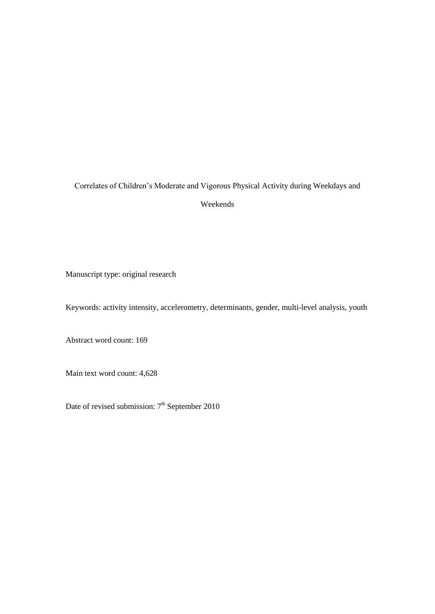# Correlates of Children's Moderate and Vigorous Physical Activity during Weekdays and Weekends

Manuscript type: original research

Keywords: activity intensity, accelerometry, determinants, gender, multi-level analysis, youth

Abstract word count: 169

Main text word count: 4,628

Date of revised submission:  $7<sup>th</sup>$  September 2010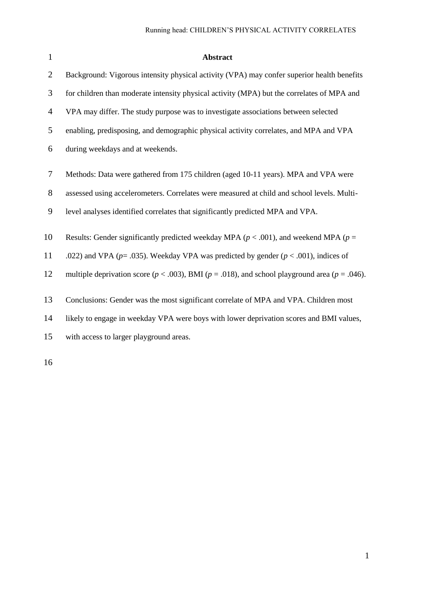| $\mathbf{1}$   | <b>Abstract</b>                                                                                           |
|----------------|-----------------------------------------------------------------------------------------------------------|
| $\overline{2}$ | Background: Vigorous intensity physical activity (VPA) may confer superior health benefits                |
| 3              | for children than moderate intensity physical activity (MPA) but the correlates of MPA and                |
| $\overline{4}$ | VPA may differ. The study purpose was to investigate associations between selected                        |
| 5              | enabling, predisposing, and demographic physical activity correlates, and MPA and VPA                     |
| 6              | during weekdays and at weekends.                                                                          |
| 7              | Methods: Data were gathered from 175 children (aged 10-11 years). MPA and VPA were                        |
| 8              | assessed using accelerometers. Correlates were measured at child and school levels. Multi-                |
| 9              | level analyses identified correlates that significantly predicted MPA and VPA.                            |
| 10             | Results: Gender significantly predicted weekday MPA ( $p < .001$ ), and weekend MPA ( $p =$               |
| 11             | .022) and VPA ( $p = .035$ ). Weekday VPA was predicted by gender ( $p < .001$ ), indices of              |
| 12             | multiple deprivation score ( $p < .003$ ), BMI ( $p = .018$ ), and school playground area ( $p = .046$ ). |
| 13             | Conclusions: Gender was the most significant correlate of MPA and VPA. Children most                      |
| 14             | likely to engage in weekday VPA were boys with lower deprivation scores and BMI values,                   |
| 15             | with access to larger playground areas.                                                                   |
|                |                                                                                                           |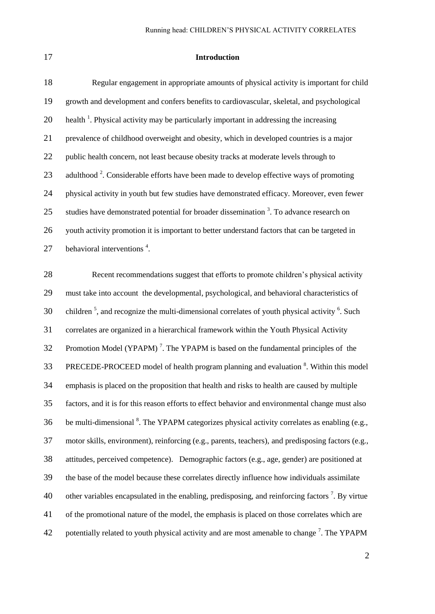#### **Introduction**

| 18 | Regular engagement in appropriate amounts of physical activity is important for child               |
|----|-----------------------------------------------------------------------------------------------------|
| 19 | growth and development and confers benefits to cardiovascular, skeletal, and psychological          |
| 20 | health <sup>1</sup> . Physical activity may be particularly important in addressing the increasing  |
| 21 | prevalence of childhood overweight and obesity, which in developed countries is a major             |
| 22 | public health concern, not least because obesity tracks at moderate levels through to               |
| 23 | adulthood <sup>2</sup> . Considerable efforts have been made to develop effective ways of promoting |
| 24 | physical activity in youth but few studies have demonstrated efficacy. Moreover, even fewer         |
| 25 | studies have demonstrated potential for broader dissemination $3$ . To advance research on          |
| 26 | youth activity promotion it is important to better understand factors that can be targeted in       |
| 27 | behavioral interventions <sup>4</sup> .                                                             |
|    |                                                                                                     |

 Recent recommendations suggest that efforts to promote children's physical activity must take into account the developmental, psychological, and behavioral characteristics of 30 children<sup>5</sup>, and recognize the multi-dimensional correlates of youth physical activity<sup>6</sup>. Such correlates are organized in a hierarchical framework within the Youth Physical Activity 32 Promotion Model (YPAPM)<sup>7</sup>. The YPAPM is based on the fundamental principles of the 33 PRECEDE-PROCEED model of health program planning and evaluation <sup>8</sup>. Within this model emphasis is placed on the proposition that health and risks to health are caused by multiple factors, and it is for this reason efforts to effect behavior and environmental change must also 36 be multi-dimensional . The YPAPM categorizes physical activity correlates as enabling (e.g., motor skills, environment), reinforcing (e.g., parents, teachers), and predisposing factors (e.g., attitudes, perceived competence). Demographic factors (e.g., age, gender) are positioned at the base of the model because these correlates directly influence how individuals assimilate 40 other variables encapsulated in the enabling, predisposing, and reinforcing factors<sup>7</sup>. By virtue of the promotional nature of the model, the emphasis is placed on those correlates which are 42 potentially related to youth physical activity and are most amenable to change<sup>7</sup>. The YPAPM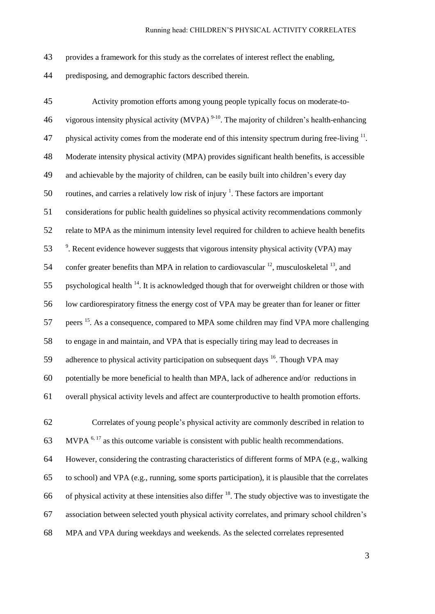provides a framework for this study as the correlates of interest reflect the enabling,

predisposing, and demographic factors described therein.

 Activity promotion efforts among young people typically focus on moderate-to-46 vigorous intensity physical activity (MVPA)  $9-10$ . The majority of children's health-enhancing 47 physical activity comes from the moderate end of this intensity spectrum during free-living . Moderate intensity physical activity (MPA) provides significant health benefits, is accessible and achievable by the majority of children, can be easily built into children's every day 50 routines, and carries a relatively low risk of injury  $\frac{1}{1}$ . These factors are important considerations for public health guidelines so physical activity recommendations commonly relate to MPA as the minimum intensity level required for children to achieve health benefits 53 <sup>9</sup>. Recent evidence however suggests that vigorous intensity physical activity (VPA) may 54 confer greater benefits than MPA in relation to cardiovascular  $^{12}$ , musculoskeletal  $^{13}$ , and 55 . psychological health . It is acknowledged though that for overweight children or those with low cardiorespiratory fitness the energy cost of VPA may be greater than for leaner or fitter 57 peers <sup>15</sup>. As a consequence, compared to MPA some children may find VPA more challenging to engage in and maintain, and VPA that is especially tiring may lead to decreases in 59 adherence to physical activity participation on subsequent days . Though VPA may potentially be more beneficial to health than MPA, lack of adherence and/or reductions in overall physical activity levels and affect are counterproductive to health promotion efforts. Correlates of young people's physical activity are commonly described in relation to 63 MVPA  $<sup>6, 17</sup>$  as this outcome variable is consistent with public health recommendations.</sup>

 However, considering the contrasting characteristics of different forms of MPA (e.g., walking to school) and VPA (e.g., running, some sports participation), it is plausible that the correlates 66 of physical activity at these intensities also differ  $^{18}$ . The study objective was to investigate the association between selected youth physical activity correlates, and primary school children's MPA and VPA during weekdays and weekends. As the selected correlates represented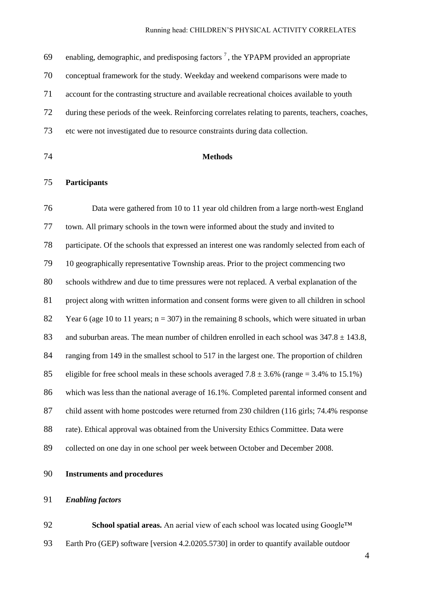69 enabling, demographic, and predisposing factors<sup>7</sup>, the YPAPM provided an appropriate conceptual framework for the study. Weekday and weekend comparisons were made to account for the contrasting structure and available recreational choices available to youth during these periods of the week. Reinforcing correlates relating to parents, teachers, coaches, etc were not investigated due to resource constraints during data collection.

## **Methods**

## **Participants**

 Data were gathered from 10 to 11 year old children from a large north-west England town. All primary schools in the town were informed about the study and invited to participate. Of the schools that expressed an interest one was randomly selected from each of 10 geographically representative Township areas. Prior to the project commencing two schools withdrew and due to time pressures were not replaced. A verbal explanation of the project along with written information and consent forms were given to all children in school 82 Year 6 (age 10 to 11 years;  $n = 307$ ) in the remaining 8 schools, which were situated in urban 83 and suburban areas. The mean number of children enrolled in each school was  $347.8 \pm 143.8$ , 84 ranging from 149 in the smallest school to 517 in the largest one. The proportion of children 85 eligible for free school meals in these schools averaged  $7.8 \pm 3.6\%$  (range = 3.4% to 15.1%) which was less than the national average of 16.1%. Completed parental informed consent and child assent with home postcodes were returned from 230 children (116 girls; 74.4% response rate). Ethical approval was obtained from the University Ethics Committee. Data were collected on one day in one school per week between October and December 2008.

**Instruments and procedures**

## *Enabling factors*

**School spatial areas.** An aerial view of each school was located using Google™ Earth Pro (GEP) software [version 4.2.0205.5730] in order to quantify available outdoor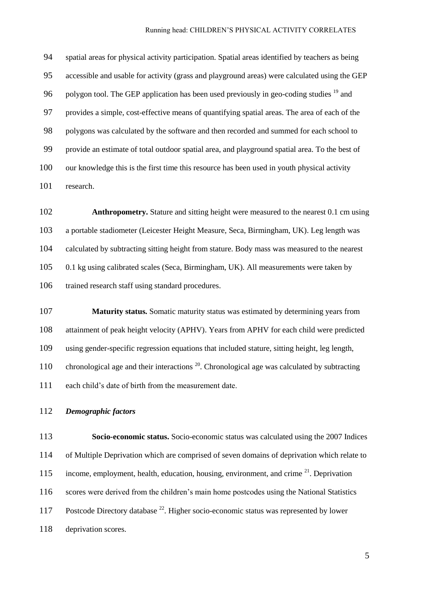spatial areas for physical activity participation. Spatial areas identified by teachers as being accessible and usable for activity (grass and playground areas) were calculated using the GEP 96 polygon tool. The GEP application has been used previously in geo-coding studies  $^{19}$  and provides a simple, cost-effective means of quantifying spatial areas. The area of each of the polygons was calculated by the software and then recorded and summed for each school to provide an estimate of total outdoor spatial area, and playground spatial area. To the best of our knowledge this is the first time this resource has been used in youth physical activity research.

 **Anthropometry.** Stature and sitting height were measured to the nearest 0.1 cm using a portable stadiometer (Leicester Height Measure, Seca, Birmingham, UK). Leg length was calculated by subtracting sitting height from stature. Body mass was measured to the nearest 0.1 kg using calibrated scales (Seca, Birmingham, UK). All measurements were taken by trained research staff using standard procedures.

 **Maturity status.** Somatic maturity status was estimated by determining years from attainment of peak height velocity (APHV). Years from APHV for each child were predicted using gender-specific regression equations that included stature, sitting height, leg length, 110 chronological age and their interactions  $^{20}$ . Chronological age was calculated by subtracting each child's date of birth from the measurement date.

## *Demographic factors*

 **Socio-economic status.** Socio-economic status was calculated using the 2007 Indices of Multiple Deprivation which are comprised of seven domains of deprivation which relate to 115 income, employment, health, education, housing, environment, and crime  $2^1$ . Deprivation scores were derived from the children's main home postcodes using the National Statistics 117 Postcode Directory database <sup>22</sup>. Higher socio-economic status was represented by lower deprivation scores.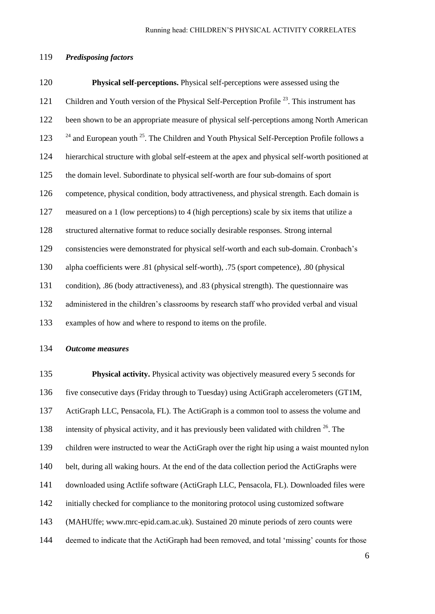## *Predisposing factors*

 **Physical self-perceptions.** Physical self-perceptions were assessed using the 121 Children and Youth version of the Physical Self-Perception Profile<sup>23</sup>. This instrument has been shown to be an appropriate measure of physical self-perceptions among North American  $^{24}$  and European youth  $^{25}$ . The Children and Youth Physical Self-Perception Profile follows a hierarchical structure with global self-esteem at the apex and physical self-worth positioned at the domain level. Subordinate to physical self-worth are four sub-domains of sport competence, physical condition, body attractiveness, and physical strength. Each domain is measured on a 1 (low perceptions) to 4 (high perceptions) scale by six items that utilize a structured alternative format to reduce socially desirable responses. Strong internal consistencies were demonstrated for physical self-worth and each sub-domain. Cronbach's alpha coefficients were .81 (physical self-worth), .75 (sport competence), .80 (physical condition), .86 (body attractiveness), and .83 (physical strength). The questionnaire was administered in the children's classrooms by research staff who provided verbal and visual examples of how and where to respond to items on the profile.

## *Outcome measures*

 **Physical activity.** Physical activity was objectively measured every 5 seconds for five consecutive days (Friday through to Tuesday) using ActiGraph accelerometers (GT1M, ActiGraph LLC, Pensacola, FL). The ActiGraph is a common tool to assess the volume and 138 intensity of physical activity, and it has previously been validated with children  $^{26}$ . The children were instructed to wear the ActiGraph over the right hip using a waist mounted nylon belt, during all waking hours. At the end of the data collection period the ActiGraphs were downloaded using Actlife software (ActiGraph LLC, Pensacola, FL). Downloaded files were initially checked for compliance to the monitoring protocol using customized software (MAHUffe; www.mrc-epid.cam.ac.uk). Sustained 20 minute periods of zero counts were deemed to indicate that the ActiGraph had been removed, and total 'missing' counts for those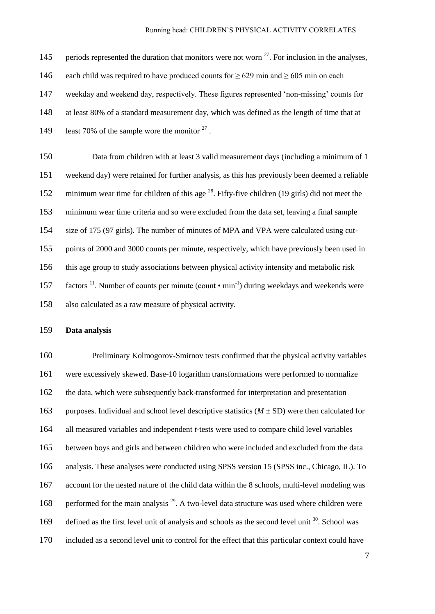145 periods represented the duration that monitors were not worn . For inclusion in the analyses, 146 each child was required to have produced counts for  $\geq 629$  min and  $\geq 605$  min on each weekday and weekend day, respectively. These figures represented 'non-missing' counts for at least 80% of a standard measurement day, which was defined as the length of time that at 149 least 70% of the sample wore the monitor  $2^7$ .

 Data from children with at least 3 valid measurement days (including a minimum of 1 weekend day) were retained for further analysis, as this has previously been deemed a reliable 152 minimum wear time for children of this age  $^{28}$ . Fifty-five children (19 girls) did not meet the minimum wear time criteria and so were excluded from the data set, leaving a final sample size of 175 (97 girls). The number of minutes of MPA and VPA were calculated using cut- points of 2000 and 3000 counts per minute, respectively, which have previously been used in this age group to study associations between physical activity intensity and metabolic risk 157 factors <sup>11</sup>. Number of counts per minute (count • min<sup>-1</sup>) during weekdays and weekends were also calculated as a raw measure of physical activity.

## **Data analysis**

 Preliminary Kolmogorov-Smirnov tests confirmed that the physical activity variables were excessively skewed. Base-10 logarithm transformations were performed to normalize the data, which were subsequently back-transformed for interpretation and presentation purposes. Individual and school level descriptive statistics (*M* ± SD) were then calculated for all measured variables and independent *t*-tests were used to compare child level variables between boys and girls and between children who were included and excluded from the data analysis. These analyses were conducted using SPSS version 15 (SPSS inc., Chicago, IL). To account for the nested nature of the child data within the 8 schools, multi-level modeling was 168 performed for the main analysis  $^{29}$ . A two-level data structure was used where children were 169 defined as the first level unit of analysis and schools as the second level unit . School was included as a second level unit to control for the effect that this particular context could have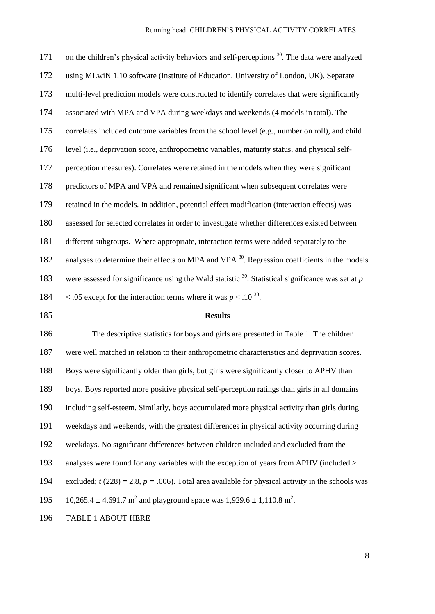171 on the children's physical activity behaviors and self-perceptions . The data were analyzed using MLwiN 1.10 software (Institute of Education, University of London, UK). Separate multi-level prediction models were constructed to identify correlates that were significantly associated with MPA and VPA during weekdays and weekends (4 models in total). The correlates included outcome variables from the school level (e.g., number on roll), and child level (i.e., deprivation score, anthropometric variables, maturity status, and physical self- perception measures). Correlates were retained in the models when they were significant predictors of MPA and VPA and remained significant when subsequent correlates were retained in the models. In addition, potential effect modification (interaction effects) was assessed for selected correlates in order to investigate whether differences existed between different subgroups. Where appropriate, interaction terms were added separately to the 182 analyses to determine their effects on MPA and VPA <sup>30</sup>. Regression coefficients in the models 183 were assessed for significance using the Wald statistic <sup>30</sup>. Statistical significance was set at *p*  $\leq$  .05 except for the interaction terms where it was  $p < 0.10^{30}$ .

#### **Results**

 The descriptive statistics for boys and girls are presented in Table 1. The children were well matched in relation to their anthropometric characteristics and deprivation scores. Boys were significantly older than girls, but girls were significantly closer to APHV than boys. Boys reported more positive physical self-perception ratings than girls in all domains including self-esteem. Similarly, boys accumulated more physical activity than girls during weekdays and weekends, with the greatest differences in physical activity occurring during weekdays. No significant differences between children included and excluded from the analyses were found for any variables with the exception of years from APHV (included > 194 excluded;  $t(228) = 2.8$ ,  $p = .006$ ). Total area available for physical activity in the schools was 195 10,265.4  $\pm$  4,691.7 m<sup>2</sup> and playground space was 1,929.6  $\pm$  1,110.8 m<sup>2</sup>.

TABLE 1 ABOUT HERE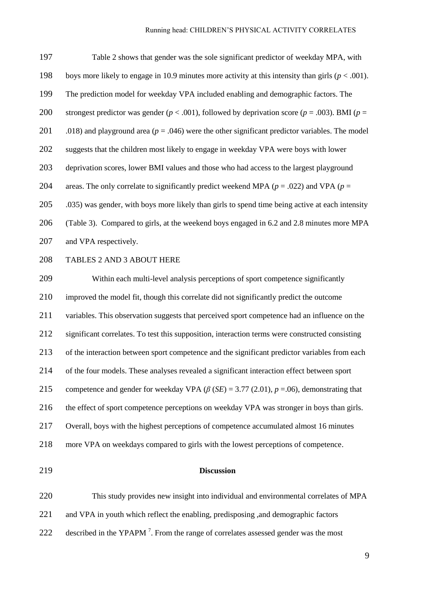Table 2 shows that gender was the sole significant predictor of weekday MPA, with boys more likely to engage in 10.9 minutes more activity at this intensity than girls (*p* < .001). The prediction model for weekday VPA included enabling and demographic factors. The strongest predictor was gender (*p* < .001), followed by deprivation score (*p* = .003). BMI (*p* = 201 .018) and playground area ( $p = .046$ ) were the other significant predictor variables. The model suggests that the children most likely to engage in weekday VPA were boys with lower deprivation scores, lower BMI values and those who had access to the largest playground 204 areas. The only correlate to significantly predict weekend MPA ( $p = .022$ ) and VPA ( $p = .029$ ) .035) was gender, with boys more likely than girls to spend time being active at each intensity (Table 3). Compared to girls, at the weekend boys engaged in 6.2 and 2.8 minutes more MPA 207 and VPA respectively. TABLES 2 AND 3 ABOUT HERE Within each multi-level analysis perceptions of sport competence significantly improved the model fit, though this correlate did not significantly predict the outcome variables. This observation suggests that perceived sport competence had an influence on the significant correlates. To test this supposition, interaction terms were constructed consisting of the interaction between sport competence and the significant predictor variables from each of the four models. These analyses revealed a significant interaction effect between sport competence and gender for weekday VPA (*β* (*SE*) = 3.77 (2.01), *p* =.06), demonstrating that the effect of sport competence perceptions on weekday VPA was stronger in boys than girls. Overall, boys with the highest perceptions of competence accumulated almost 16 minutes more VPA on weekdays compared to girls with the lowest perceptions of competence.

#### **Discussion**

 This study provides new insight into individual and environmental correlates of MPA and VPA in youth which reflect the enabling, predisposing ,and demographic factors 222 described in the YPAPM<sup>7</sup>. From the range of correlates assessed gender was the most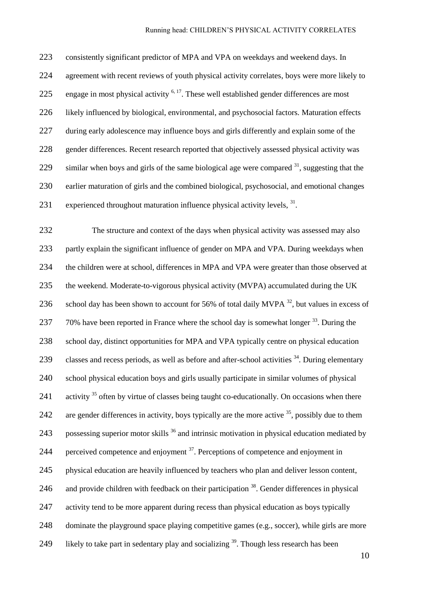consistently significant predictor of MPA and VPA on weekdays and weekend days. In agreement with recent reviews of youth physical activity correlates, boys were more likely to 225 engage in most physical activity  $6, 17$ . These well established gender differences are most likely influenced by biological, environmental, and psychosocial factors. Maturation effects 227 during early adolescence may influence boys and girls differently and explain some of the gender differences. Recent research reported that objectively assessed physical activity was 229 similar when boys and girls of the same biological age were compared , suggesting that the earlier maturation of girls and the combined biological, psychosocial, and emotional changes 231 experienced throughout maturation influence physical activity levels, .

 The structure and context of the days when physical activity was assessed may also partly explain the significant influence of gender on MPA and VPA. During weekdays when the children were at school, differences in MPA and VPA were greater than those observed at the weekend. Moderate-to-vigorous physical activity (MVPA) accumulated during the UK 236 school day has been shown to account for 56% of total daily MVPA  $^{32}$ , but values in excess of 237  $-70\%$  have been reported in France where the school day is somewhat longer  $33$ . During the 238 school day, distinct opportunities for MPA and VPA typically centre on physical education 239 classes and recess periods, as well as before and after-school activities . During elementary school physical education boys and girls usually participate in similar volumes of physical 241 activity often by virtue of classes being taught co-educationally. On occasions when there 242 are gender differences in activity, boys typically are the more active , possibly due to them 243 possessing superior motor skills <sup>36</sup> and intrinsic motivation in physical education mediated by 244 berceived competence and enjoyment  $3^7$ . Perceptions of competence and enjoyment in physical education are heavily influenced by teachers who plan and deliver lesson content, 246 and provide children with feedback on their participation . Gender differences in physical 247 activity tend to be more apparent during recess than physical education as boys typically dominate the playground space playing competitive games (e.g., soccer), while girls are more 249 likely to take part in sedentary play and socializing . Though less research has been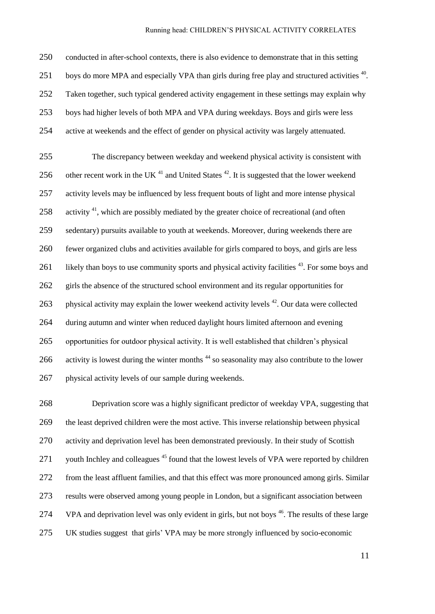conducted in after-school contexts, there is also evidence to demonstrate that in this setting 251 boys do more MPA and especially VPA than girls during free play and structured activities <sup>40</sup>. Taken together, such typical gendered activity engagement in these settings may explain why boys had higher levels of both MPA and VPA during weekdays. Boys and girls were less active at weekends and the effect of gender on physical activity was largely attenuated.

 The discrepancy between weekday and weekend physical activity is consistent with 256 other recent work in the UK  $^{41}$  and United States  $^{42}$ . It is suggested that the lower weekend activity levels may be influenced by less frequent bouts of light and more intense physical 258 activity , which are possibly mediated by the greater choice of recreational (and often sedentary) pursuits available to youth at weekends. Moreover, during weekends there are fewer organized clubs and activities available for girls compared to boys, and girls are less 261 likely than boys to use community sports and physical activity facilities . For some boys and girls the absence of the structured school environment and its regular opportunities for 263 physical activity may explain the lower weekend activity levels . Our data were collected during autumn and winter when reduced daylight hours limited afternoon and evening opportunities for outdoor physical activity. It is well established that children's physical 266 activity is lowest during the winter months<sup>44</sup> so seasonality may also contribute to the lower physical activity levels of our sample during weekends.

 Deprivation score was a highly significant predictor of weekday VPA, suggesting that the least deprived children were the most active. This inverse relationship between physical activity and deprivation level has been demonstrated previously. In their study of Scottish 271 vouth Inchley and colleagues found that the lowest levels of VPA were reported by children from the least affluent families, and that this effect was more pronounced among girls. Similar results were observed among young people in London, but a significant association between 274 VPA and deprivation level was only evident in girls, but not boys <sup>46</sup>. The results of these large UK studies suggest that girls' VPA may be more strongly influenced by socio-economic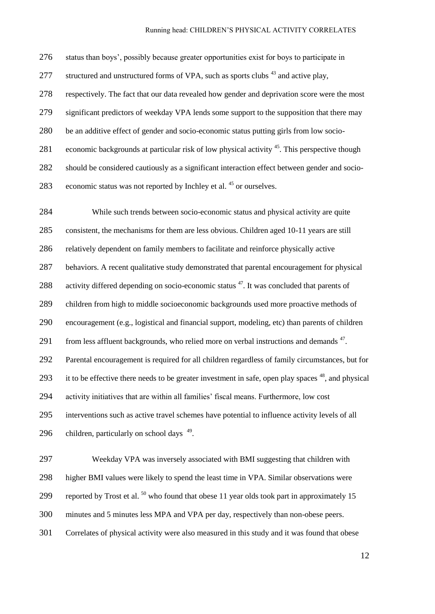status than boys', possibly because greater opportunities exist for boys to participate in 277 structured and unstructured forms of VPA, such as sports clubs and active play, respectively. The fact that our data revealed how gender and deprivation score were the most significant predictors of weekday VPA lends some support to the supposition that there may be an additive effect of gender and socio-economic status putting girls from low socio-281 economic backgrounds at particular risk of low physical activity . This perspective though should be considered cautiously as a significant interaction effect between gender and socio-283 economic status was not reported by Inchley et al. or ourselves.

 While such trends between socio-economic status and physical activity are quite consistent, the mechanisms for them are less obvious. Children aged 10-11 years are still relatively dependent on family members to facilitate and reinforce physically active behaviors. A recent qualitative study demonstrated that parental encouragement for physical 288 activity differed depending on socio-economic status . It was concluded that parents of children from high to middle socioeconomic backgrounds used more proactive methods of encouragement (e.g., logistical and financial support, modeling, etc) than parents of children 291 from less affluent backgrounds, who relied more on verbal instructions and demands . Parental encouragement is required for all children regardless of family circumstances, but for 293 it to be effective there needs to be greater investment in safe, open play spaces , and physical activity initiatives that are within all families' fiscal means. Furthermore, low cost interventions such as active travel schemes have potential to influence activity levels of all 296 children, particularly on school days .

 Weekday VPA was inversely associated with BMI suggesting that children with higher BMI values were likely to spend the least time in VPA. Similar observations were 299 reported by Trost et al. who found that obese 11 year olds took part in approximately 15 minutes and 5 minutes less MPA and VPA per day, respectively than non-obese peers. Correlates of physical activity were also measured in this study and it was found that obese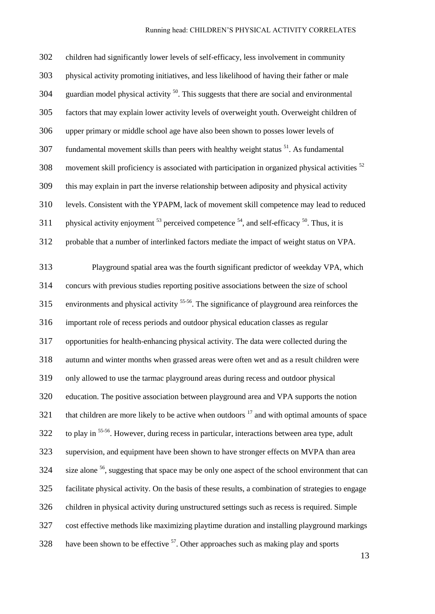| 302 | children had significantly lower levels of self-efficacy, less involvement in community                    |
|-----|------------------------------------------------------------------------------------------------------------|
| 303 | physical activity promoting initiatives, and less likelihood of having their father or male                |
| 304 | guardian model physical activity <sup>50</sup> . This suggests that there are social and environmental     |
| 305 | factors that may explain lower activity levels of overweight youth. Overweight children of                 |
| 306 | upper primary or middle school age have also been shown to posses lower levels of                          |
| 307 | fundamental movement skills than peers with healthy weight status <sup>51</sup> . As fundamental           |
| 308 | movement skill proficiency is associated with participation in organized physical activities <sup>52</sup> |
| 309 | this may explain in part the inverse relationship between adiposity and physical activity                  |
| 310 | levels. Consistent with the YPAPM, lack of movement skill competence may lead to reduced                   |
| 311 | physical activity enjoyment $^{53}$ perceived competence $^{54}$ , and self-efficacy $^{50}$ . Thus, it is |
| 312 | probable that a number of interlinked factors mediate the impact of weight status on VPA.                  |
| 313 | Playground spatial area was the fourth significant predictor of weekday VPA, which                         |
| 314 | concurs with previous studies reporting positive associations between the size of school                   |
| 315 | environments and physical activity <sup>55-56</sup> . The significance of playground area reinforces the   |
| 316 | important role of recess periods and outdoor physical education classes as regular                         |
| 317 | opportunities for health-enhancing physical activity. The data were collected during the                   |
| 318 | autumn and winter months when grassed areas were often wet and as a result children were                   |
| 319 | only allowed to use the tarmac playground areas during recess and outdoor physical                         |
| 320 | education. The positive association between playground area and VPA supports the notion                    |
| 321 | that children are more likely to be active when outdoors <sup>17</sup> and with optimal amounts of space   |
| 322 | to play in <sup>55-56</sup> . However, during recess in particular, interactions between area type, adult  |
| 323 | supervision, and equipment have been shown to have stronger effects on MVPA than area                      |
| 324 | size alone <sup>56</sup> , suggesting that space may be only one aspect of the school environment that can |
| 325 | facilitate physical activity. On the basis of these results, a combination of strategies to engage         |
| 326 | children in physical activity during unstructured settings such as recess is required. Simple              |
| 327 | cost effective methods like maximizing playtime duration and installing playground markings                |
| 328 | have been shown to be effective <sup>57</sup> . Other approaches such as making play and sports            |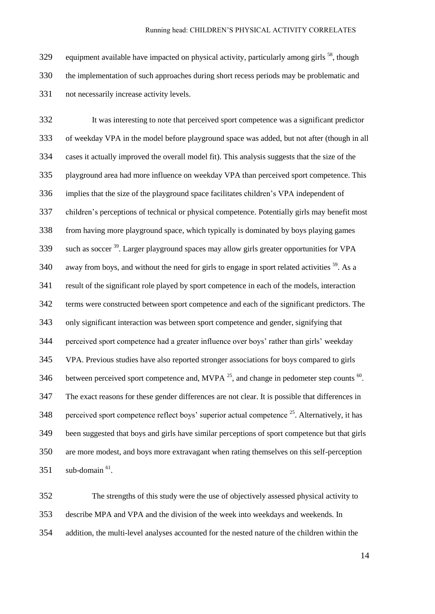329 equipment available have impacted on physical activity, particularly among girls  $^{58}$ , though the implementation of such approaches during short recess periods may be problematic and not necessarily increase activity levels.

 It was interesting to note that perceived sport competence was a significant predictor of weekday VPA in the model before playground space was added, but not after (though in all cases it actually improved the overall model fit). This analysis suggests that the size of the playground area had more influence on weekday VPA than perceived sport competence. This implies that the size of the playground space facilitates children's VPA independent of children's perceptions of technical or physical competence. Potentially girls may benefit most from having more playground space, which typically is dominated by boys playing games such as soccer<sup>39</sup>. Larger playground spaces may allow girls greater opportunities for VPA away from boys, and without the need for girls to engage in sport related activities  $^{59}$ . As a result of the significant role played by sport competence in each of the models, interaction terms were constructed between sport competence and each of the significant predictors. The only significant interaction was between sport competence and gender, signifying that perceived sport competence had a greater influence over boys' rather than girls' weekday VPA. Previous studies have also reported stronger associations for boys compared to girls 346 between perceived sport competence and, MVPA  $^{25}$ , and change in pedometer step counts  $^{60}$ . The exact reasons for these gender differences are not clear. It is possible that differences in 348 perceived sport competence reflect boys' superior actual competence . Alternatively, it has been suggested that boys and girls have similar perceptions of sport competence but that girls are more modest, and boys more extravagant when rating themselves on this self-perception sub-domain  $^{61}$ .

 The strengths of this study were the use of objectively assessed physical activity to describe MPA and VPA and the division of the week into weekdays and weekends. In addition, the multi-level analyses accounted for the nested nature of the children within the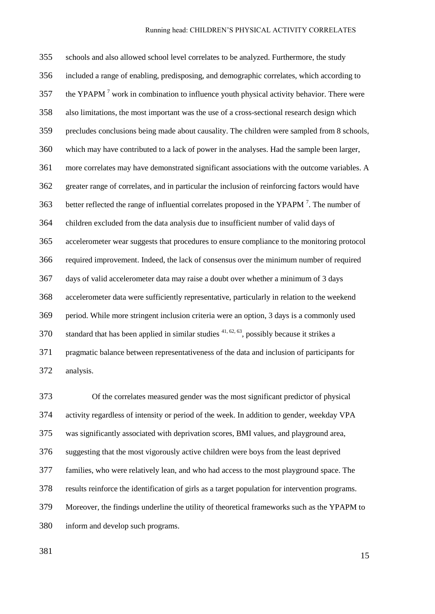schools and also allowed school level correlates to be analyzed. Furthermore, the study included a range of enabling, predisposing, and demographic correlates, which according to 357 the YPAPM<sup>7</sup> work in combination to influence youth physical activity behavior. There were also limitations, the most important was the use of a cross-sectional research design which precludes conclusions being made about causality. The children were sampled from 8 schools, which may have contributed to a lack of power in the analyses. Had the sample been larger, more correlates may have demonstrated significant associations with the outcome variables. A greater range of correlates, and in particular the inclusion of reinforcing factors would have 363 better reflected the range of influential correlates proposed in the YPAPM<sup>7</sup>. The number of children excluded from the data analysis due to insufficient number of valid days of accelerometer wear suggests that procedures to ensure compliance to the monitoring protocol required improvement. Indeed, the lack of consensus over the minimum number of required days of valid accelerometer data may raise a doubt over whether a minimum of 3 days accelerometer data were sufficiently representative, particularly in relation to the weekend period. While more stringent inclusion criteria were an option, 3 days is a commonly used standard that has been applied in similar studies <sup>41, 62, 63</sup>, possibly because it strikes a pragmatic balance between representativeness of the data and inclusion of participants for analysis.

 Of the correlates measured gender was the most significant predictor of physical activity regardless of intensity or period of the week. In addition to gender, weekday VPA was significantly associated with deprivation scores, BMI values, and playground area, suggesting that the most vigorously active children were boys from the least deprived families, who were relatively lean, and who had access to the most playground space. The results reinforce the identification of girls as a target population for intervention programs. Moreover, the findings underline the utility of theoretical frameworks such as the YPAPM to inform and develop such programs.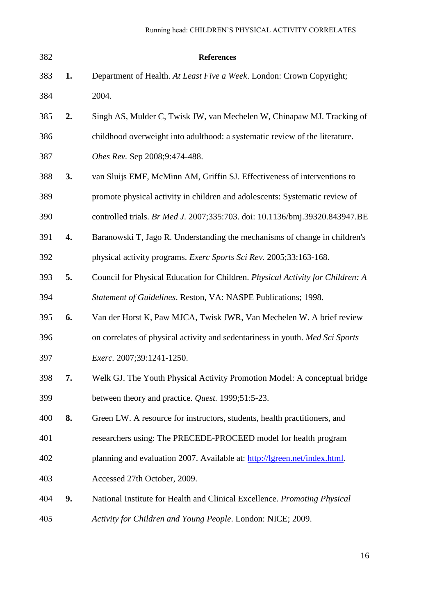| 382 |    | <b>References</b>                                                              |
|-----|----|--------------------------------------------------------------------------------|
| 383 | 1. | Department of Health. At Least Five a Week. London: Crown Copyright;           |
| 384 |    | 2004.                                                                          |
| 385 | 2. | Singh AS, Mulder C, Twisk JW, van Mechelen W, Chinapaw MJ. Tracking of         |
| 386 |    | childhood overweight into adulthood: a systematic review of the literature.    |
| 387 |    | Obes Rev. Sep 2008;9:474-488.                                                  |
| 388 | 3. | van Sluijs EMF, McMinn AM, Griffin SJ. Effectiveness of interventions to       |
| 389 |    | promote physical activity in children and adolescents: Systematic review of    |
| 390 |    | controlled trials. Br Med J. 2007;335:703. doi: 10.1136/bmj.39320.843947.BE    |
| 391 | 4. | Baranowski T, Jago R. Understanding the mechanisms of change in children's     |
| 392 |    | physical activity programs. Exerc Sports Sci Rev. 2005;33:163-168.             |
| 393 | 5. | Council for Physical Education for Children. Physical Activity for Children: A |
| 394 |    | Statement of Guidelines. Reston, VA: NASPE Publications; 1998.                 |
| 395 | 6. | Van der Horst K, Paw MJCA, Twisk JWR, Van Mechelen W. A brief review           |
| 396 |    | on correlates of physical activity and sedentariness in youth. Med Sci Sports  |
| 397 |    | <i>Exerc.</i> 2007;39:1241-1250.                                               |
| 398 | 7. | Welk GJ. The Youth Physical Activity Promotion Model: A conceptual bridge      |
| 399 |    | between theory and practice. Quest. 1999;51:5-23.                              |
| 400 | 8. | Green LW. A resource for instructors, students, health practitioners, and      |
| 401 |    | researchers using: The PRECEDE-PROCEED model for health program                |
| 402 |    | planning and evaluation 2007. Available at: http://lgreen.net/index.html.      |
| 403 |    | Accessed 27th October, 2009.                                                   |
| 404 | 9. | National Institute for Health and Clinical Excellence. Promoting Physical      |
| 405 |    | Activity for Children and Young People. London: NICE; 2009.                    |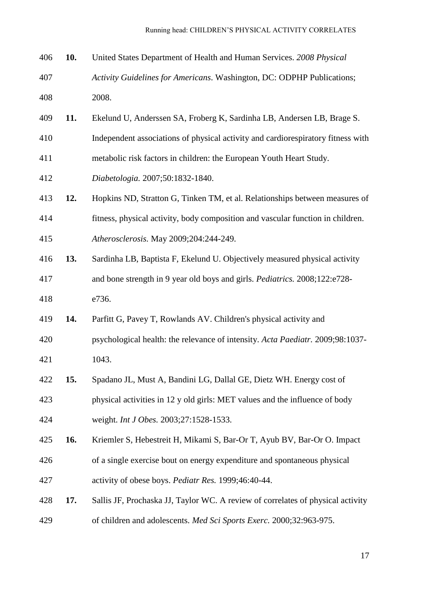| 406 | 10. | United States Department of Health and Human Services. 2008 Physical             |
|-----|-----|----------------------------------------------------------------------------------|
| 407 |     | Activity Guidelines for Americans. Washington, DC: ODPHP Publications;           |
| 408 |     | 2008.                                                                            |
| 409 | 11. | Ekelund U, Anderssen SA, Froberg K, Sardinha LB, Andersen LB, Brage S.           |
| 410 |     | Independent associations of physical activity and cardiorespiratory fitness with |
| 411 |     | metabolic risk factors in children: the European Youth Heart Study.              |
| 412 |     | Diabetologia. 2007;50:1832-1840.                                                 |
| 413 | 12. | Hopkins ND, Stratton G, Tinken TM, et al. Relationships between measures of      |
| 414 |     | fitness, physical activity, body composition and vascular function in children.  |
| 415 |     | Atherosclerosis. May 2009;204:244-249.                                           |
| 416 | 13. | Sardinha LB, Baptista F, Ekelund U. Objectively measured physical activity       |
| 417 |     | and bone strength in 9 year old boys and girls. Pediatrics. 2008;122:e728-       |
| 418 |     | e736.                                                                            |
| 419 | 14. | Parfitt G, Pavey T, Rowlands AV. Children's physical activity and                |
| 420 |     | psychological health: the relevance of intensity. Acta Paediatr. 2009;98:1037-   |
| 421 |     | 1043.                                                                            |
| 422 | 15. | Spadano JL, Must A, Bandini LG, Dallal GE, Dietz WH. Energy cost of              |
| 423 |     | physical activities in 12 y old girls: MET values and the influence of body      |
| 424 |     | weight. Int J Obes. 2003;27:1528-1533.                                           |
| 425 | 16. | Kriemler S, Hebestreit H, Mikami S, Bar-Or T, Ayub BV, Bar-Or O. Impact          |
| 426 |     | of a single exercise bout on energy expenditure and spontaneous physical         |
| 427 |     | activity of obese boys. Pediatr Res. 1999;46:40-44.                              |
| 428 | 17. | Sallis JF, Prochaska JJ, Taylor WC. A review of correlates of physical activity  |
| 429 |     | of children and adolescents. Med Sci Sports Exerc. 2000;32:963-975.              |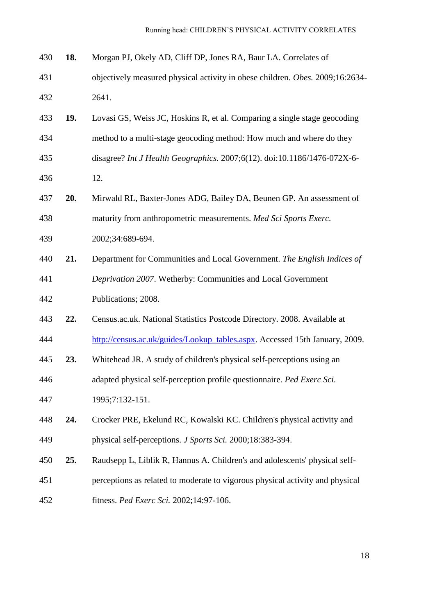| 430 | 18. | Morgan PJ, Okely AD, Cliff DP, Jones RA, Baur LA. Correlates of               |
|-----|-----|-------------------------------------------------------------------------------|
| 431 |     | objectively measured physical activity in obese children. Obes. 2009;16:2634- |
| 432 |     | 2641.                                                                         |
| 433 | 19. | Lovasi GS, Weiss JC, Hoskins R, et al. Comparing a single stage geocoding     |
| 434 |     | method to a multi-stage geocoding method: How much and where do they          |
| 435 |     | disagree? Int J Health Geographics. 2007;6(12). doi:10.1186/1476-072X-6-      |
| 436 |     | 12.                                                                           |
| 437 | 20. | Mirwald RL, Baxter-Jones ADG, Bailey DA, Beunen GP. An assessment of          |
| 438 |     | maturity from anthropometric measurements. Med Sci Sports Exerc.              |
| 439 |     | 2002;34:689-694.                                                              |
| 440 | 21. | Department for Communities and Local Government. The English Indices of       |
| 441 |     | Deprivation 2007. Wetherby: Communities and Local Government                  |
| 442 |     | Publications; 2008.                                                           |
| 443 | 22. | Census.ac.uk. National Statistics Postcode Directory. 2008. Available at      |
| 444 |     | http://census.ac.uk/guides/Lookup_tables.aspx. Accessed 15th January, 2009.   |
| 445 | 23. | Whitehead JR. A study of children's physical self-perceptions using an        |
| 446 |     | adapted physical self-perception profile questionnaire. Ped Exerc Sci.        |
| 447 |     | 1995;7:132-151.                                                               |
| 448 | 24. | Crocker PRE, Ekelund RC, Kowalski KC. Children's physical activity and        |
| 449 |     | physical self-perceptions. <i>J Sports Sci.</i> 2000;18:383-394.              |
| 450 | 25. | Raudsepp L, Liblik R, Hannus A. Children's and adolescents' physical self-    |
| 451 |     | perceptions as related to moderate to vigorous physical activity and physical |
| 452 |     | fitness. Ped Exerc Sci. 2002;14:97-106.                                       |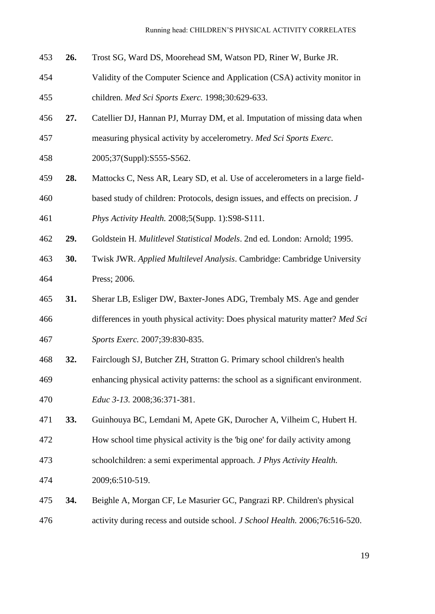- **26.** Trost SG, Ward DS, Moorehead SM, Watson PD, Riner W, Burke JR.
- Validity of the Computer Science and Application (CSA) activity monitor in children. *Med Sci Sports Exerc.* 1998;30:629-633.
- **27.** Catellier DJ, Hannan PJ, Murray DM, et al. Imputation of missing data when measuring physical activity by accelerometry. *Med Sci Sports Exerc.*
- 
- 2005;37(Suppl):S555-S562.
- **28.** Mattocks C, Ness AR, Leary SD, et al. Use of accelerometers in a large field- based study of children: Protocols, design issues, and effects on precision. *J Phys Activity Health.* 2008;5(Supp. 1):S98-S111.
- **29.** Goldstein H. *Mulitlevel Statistical Models*. 2nd ed. London: Arnold; 1995.
- **30.** Twisk JWR. *Applied Multilevel Analysis*. Cambridge: Cambridge University Press; 2006.
- **31.** Sherar LB, Esliger DW, Baxter-Jones ADG, Trembaly MS. Age and gender differences in youth physical activity: Does physical maturity matter? *Med Sci Sports Exerc.* 2007;39:830-835.
- **32.** Fairclough SJ, Butcher ZH, Stratton G. Primary school children's health
- enhancing physical activity patterns: the school as a significant environment. *Educ 3-13.* 2008;36:371-381.
- **33.** Guinhouya BC, Lemdani M, Apete GK, Durocher A, Vilheim C, Hubert H.
- How school time physical activity is the 'big one' for daily activity among
- schoolchildren: a semi experimental approach. *J Phys Activity Health.*
- 2009;6:510-519.
- **34.** Beighle A, Morgan CF, Le Masurier GC, Pangrazi RP. Children's physical activity during recess and outside school. *J School Health.* 2006;76:516-520.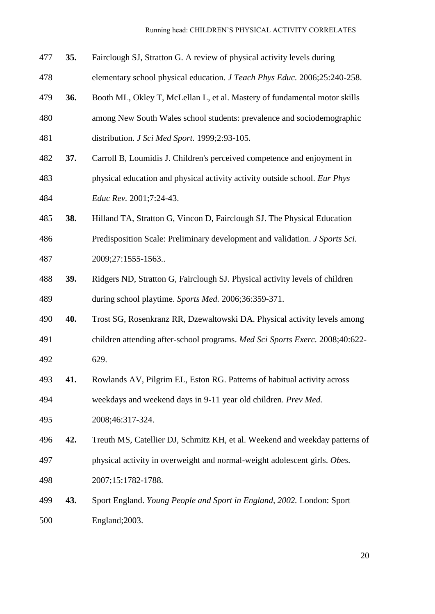| 477 | 35. | Fairclough SJ, Stratton G. A review of physical activity levels during       |
|-----|-----|------------------------------------------------------------------------------|
| 478 |     | elementary school physical education. J Teach Phys Educ. 2006;25:240-258.    |
| 479 | 36. | Booth ML, Okley T, McLellan L, et al. Mastery of fundamental motor skills    |
| 480 |     | among New South Wales school students: prevalence and sociodemographic       |
| 481 |     | distribution. J Sci Med Sport. 1999;2:93-105.                                |
| 482 | 37. | Carroll B, Loumidis J. Children's perceived competence and enjoyment in      |
| 483 |     | physical education and physical activity activity outside school. Eur Phys   |
| 484 |     | Educ Rev. 2001;7:24-43.                                                      |
| 485 | 38. | Hilland TA, Stratton G, Vincon D, Fairclough SJ. The Physical Education      |
| 486 |     | Predisposition Scale: Preliminary development and validation. J Sports Sci.  |
| 487 |     | 2009;27:1555-1563                                                            |
| 488 | 39. | Ridgers ND, Stratton G, Fairclough SJ. Physical activity levels of children  |
| 489 |     | during school playtime. Sports Med. 2006;36:359-371.                         |
| 490 | 40. | Trost SG, Rosenkranz RR, Dzewaltowski DA. Physical activity levels among     |
| 491 |     | children attending after-school programs. Med Sci Sports Exerc. 2008;40:622- |
| 492 |     | 629.                                                                         |
| 493 | 41. | Rowlands AV, Pilgrim EL, Eston RG. Patterns of habitual activity across      |
| 494 |     | weekdays and weekend days in 9-11 year old children. Prev Med.               |
| 495 |     | 2008;46:317-324.                                                             |
| 496 | 42. | Treuth MS, Catellier DJ, Schmitz KH, et al. Weekend and weekday patterns of  |
| 497 |     | physical activity in overweight and normal-weight adolescent girls. Obes.    |
| 498 |     | 2007;15:1782-1788.                                                           |
| 499 | 43. | Sport England. Young People and Sport in England, 2002. London: Sport        |
| 500 |     | England; 2003.                                                               |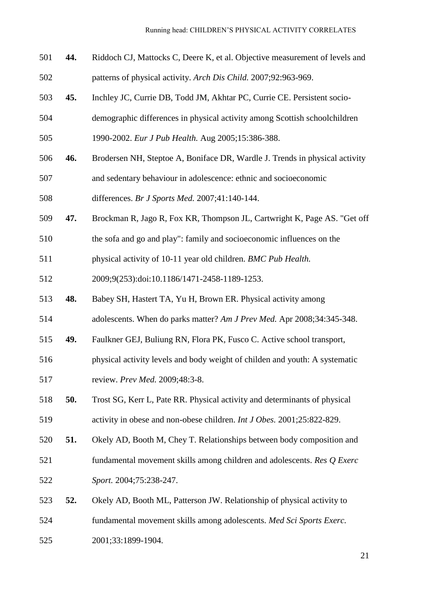- **44.** Riddoch CJ, Mattocks C, Deere K, et al. Objective measurement of levels and patterns of physical activity. *Arch Dis Child.* 2007;92:963-969.
- **45.** Inchley JC, Currie DB, Todd JM, Akhtar PC, Currie CE. Persistent socio-demographic differences in physical activity among Scottish schoolchildren
- 1990-2002. *Eur J Pub Health.* Aug 2005;15:386-388.
- **46.** Brodersen NH, Steptoe A, Boniface DR, Wardle J. Trends in physical activity
- and sedentary behaviour in adolescence: ethnic and socioeconomic

differences. *Br J Sports Med.* 2007;41:140-144.

- **47.** Brockman R, Jago R, Fox KR, Thompson JL, Cartwright K, Page AS. "Get off
- the sofa and go and play": family and socioeconomic influences on the
- physical activity of 10-11 year old children. *BMC Pub Health.*

2009;9(253):doi:10.1186/1471-2458-1189-1253.

- **48.** Babey SH, Hastert TA, Yu H, Brown ER. Physical activity among
- adolescents. When do parks matter? *Am J Prev Med.* Apr 2008;34:345-348.
- **49.** Faulkner GEJ, Buliung RN, Flora PK, Fusco C. Active school transport,
- physical activity levels and body weight of childen and youth: A systematic

review. *Prev Med.* 2009;48:3-8.

- **50.** Trost SG, Kerr L, Pate RR. Physical activity and determinants of physical activity in obese and non-obese children. *Int J Obes.* 2001;25:822-829.
- **51.** Okely AD, Booth M, Chey T. Relationships between body composition and fundamental movement skills among children and adolescents. *Res Q Exerc Sport.* 2004;75:238-247.
- **52.** Okely AD, Booth ML, Patterson JW. Relationship of physical activity to fundamental movement skills among adolescents. *Med Sci Sports Exerc.*
- 2001;33:1899-1904.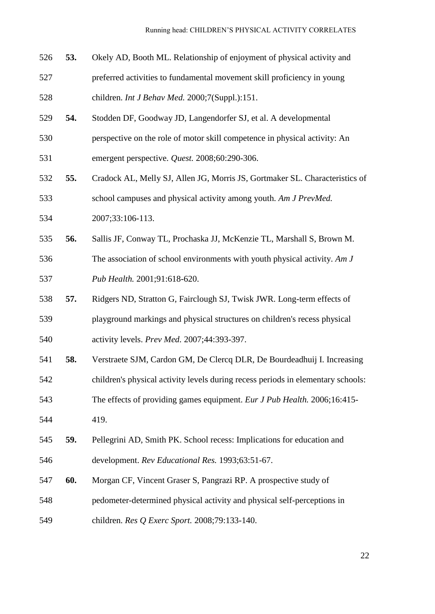- **53.** Okely AD, Booth ML. Relationship of enjoyment of physical activity and preferred activities to fundamental movement skill proficiency in young children. *Int J Behav Med.* 2000;7(Suppl.):151.
- **54.** Stodden DF, Goodway JD, Langendorfer SJ, et al. A developmental
- perspective on the role of motor skill competence in physical activity: An
- emergent perspective. *Quest.* 2008;60:290-306.
- **55.** Cradock AL, Melly SJ, Allen JG, Morris JS, Gortmaker SL. Characteristics of school campuses and physical activity among youth. *Am J PrevMed.*
- 2007;33:106-113.
- **56.** Sallis JF, Conway TL, Prochaska JJ, McKenzie TL, Marshall S, Brown M. The association of school environments with youth physical activity. *Am J Pub Health.* 2001;91:618-620.
- **57.** Ridgers ND, Stratton G, Fairclough SJ, Twisk JWR. Long-term effects of playground markings and physical structures on children's recess physical activity levels. *Prev Med.* 2007;44:393-397.
- **58.** Verstraete SJM, Cardon GM, De Clercq DLR, De Bourdeadhuij I. Increasing
- children's physical activity levels during recess periods in elementary schools:
- The effects of providing games equipment. *Eur J Pub Health.* 2006;16:415-
- 419.
- **59.** Pellegrini AD, Smith PK. School recess: Implications for education and development. *Rev Educational Res.* 1993;63:51-67.
- **60.** Morgan CF, Vincent Graser S, Pangrazi RP. A prospective study of pedometer-determined physical activity and physical self-perceptions in
- children. *Res Q Exerc Sport.* 2008;79:133-140.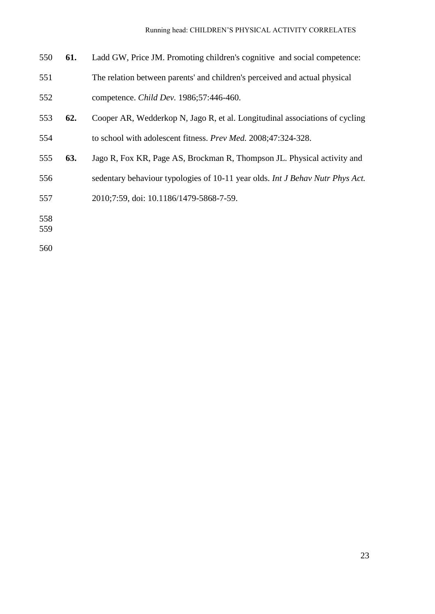- **61.** Ladd GW, Price JM. Promoting children's cognitive and social competence:
- The relation between parents' and children's perceived and actual physical competence. *Child Dev.* 1986;57:446-460.
- **62.** Cooper AR, Wedderkop N, Jago R, et al. Longitudinal associations of cycling to school with adolescent fitness. *Prev Med.* 2008;47:324-328.
- **63.** Jago R, Fox KR, Page AS, Brockman R, Thompson JL. Physical activity and
- sedentary behaviour typologies of 10-11 year olds. *Int J Behav Nutr Phys Act.*
- 2010;7:59, doi: 10.1186/1479-5868-7-59.
- 
-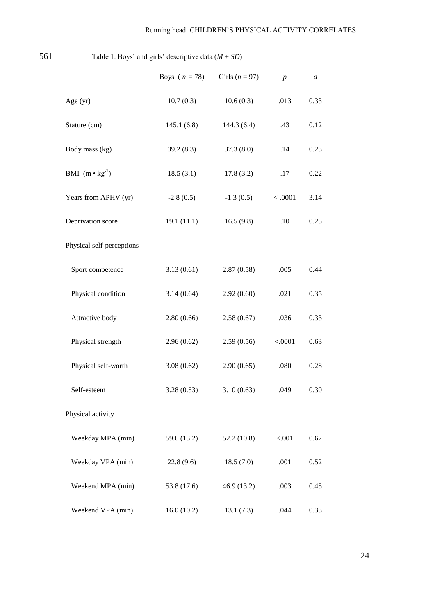|                           | Boys ( $n = 78$ ) | Girls $(n = 97)$ | $\boldsymbol{p}$ | $\boldsymbol{d}$ |
|---------------------------|-------------------|------------------|------------------|------------------|
| Age $(yr)$                | 10.7(0.3)         | 10.6(0.3)        | .013             | 0.33             |
| Stature (cm)              | 145.1(6.8)        | 144.3(6.4)       | .43              | 0.12             |
| Body mass (kg)            | 39.2(8.3)         | 37.3(8.0)        | .14              | 0.23             |
| BMI $(m \cdot kg^{-2})$   | 18.5(3.1)         | 17.8(3.2)        | .17              | 0.22             |
| Years from APHV (yr)      | $-2.8(0.5)$       | $-1.3(0.5)$      | < .0001          | 3.14             |
| Deprivation score         | 19.1(11.1)        | 16.5(9.8)        | .10              | 0.25             |
| Physical self-perceptions |                   |                  |                  |                  |
| Sport competence          | 3.13(0.61)        | 2.87(0.58)       | .005             | 0.44             |
| Physical condition        | 3.14(0.64)        | 2.92(0.60)       | .021             | 0.35             |
| Attractive body           | 2.80(0.66)        | 2.58(0.67)       | .036             | 0.33             |
| Physical strength         | 2.96(0.62)        | 2.59(0.56)       | < .0001          | 0.63             |
| Physical self-worth       | 3.08(0.62)        | 2.90(0.65)       | .080             | 0.28             |
| Self-esteem               | 3.28(0.53)        | 3.10(0.63)       | .049             | 0.30             |
| Physical activity         |                   |                  |                  |                  |
| Weekday MPA (min)         | 59.6 (13.2)       | 52.2(10.8)       | < .001           | 0.62             |
| Weekday VPA (min)         | 22.8(9.6)         | 18.5(7.0)        | .001             | 0.52             |
| Weekend MPA (min)         | 53.8 (17.6)       | 46.9(13.2)       | .003             | 0.45             |
| Weekend VPA (min)         | 16.0(10.2)        | 13.1(7.3)        | .044             | 0.33             |

561 Table 1. Boys' and girls' descriptive data  $(M \pm SD)$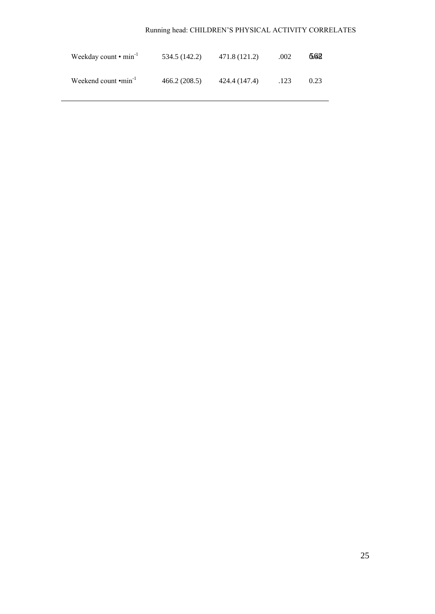| Weekday count $\cdot$ min <sup>-1</sup> | 534.5 (142.2) | 471.8 (121.2) | .002 | 6.62 |
|-----------------------------------------|---------------|---------------|------|------|
| Weekend count $\cdot$ min <sup>-1</sup> | 466.2(208.5)  | 424.4 (147.4) | .123 | 0.23 |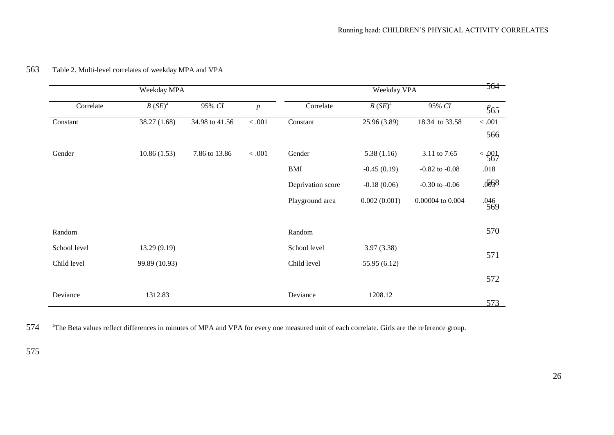| Weekday MPA<br>$B(SE)^a$<br>95% CI<br>Correlate<br>38.27 (1.68)<br>34.98 to 41.56<br>10.86(1.53)<br>7.86 to 13.86 |               |  |                  |                   | Weekday VPA   |                    | 564           |  |
|-------------------------------------------------------------------------------------------------------------------|---------------|--|------------------|-------------------|---------------|--------------------|---------------|--|
|                                                                                                                   |               |  | $\boldsymbol{p}$ | Correlate         | $B(SE)^a$     | 95% CI             | $\frac{8}{5}$ |  |
| Constant                                                                                                          |               |  | $<.001$          | Constant          | 25.96 (3.89)  | 18.34 to 33.58     | $<.001$       |  |
|                                                                                                                   |               |  |                  |                   |               |                    | 566           |  |
| Gender                                                                                                            |               |  | $<.001$          | Gender            | 5.38(1.16)    | 3.11 to 7.65       | $\leq 0.01$   |  |
|                                                                                                                   |               |  |                  | <b>BMI</b>        | $-0.45(0.19)$ | $-0.82$ to $-0.08$ | .018          |  |
|                                                                                                                   |               |  |                  | Deprivation score | $-0.18(0.06)$ | $-0.30$ to $-0.06$ | .5568         |  |
|                                                                                                                   |               |  |                  | Playground area   | 0.002(0.001)  | 0.00004 to 0.004   | $.046$<br>569 |  |
| Random                                                                                                            |               |  |                  | Random            |               |                    | 570           |  |
| School level                                                                                                      | 13.29 (9.19)  |  |                  | School level      | 3.97(3.38)    |                    |               |  |
| Child level                                                                                                       | 99.89 (10.93) |  |                  | Child level       | 55.95 (6.12)  |                    | 571           |  |
|                                                                                                                   |               |  |                  |                   |               |                    | 572           |  |
| Deviance                                                                                                          | 1312.83       |  |                  | Deviance          | 1208.12       |                    | 573           |  |

## 563 Table 2. Multi-level correlates of weekday MPA and VPA

574 <sup>a</sup>The Beta values reflect differences in minutes of MPA and VPA for every one measured unit of each correlate. Girls are the reference group.